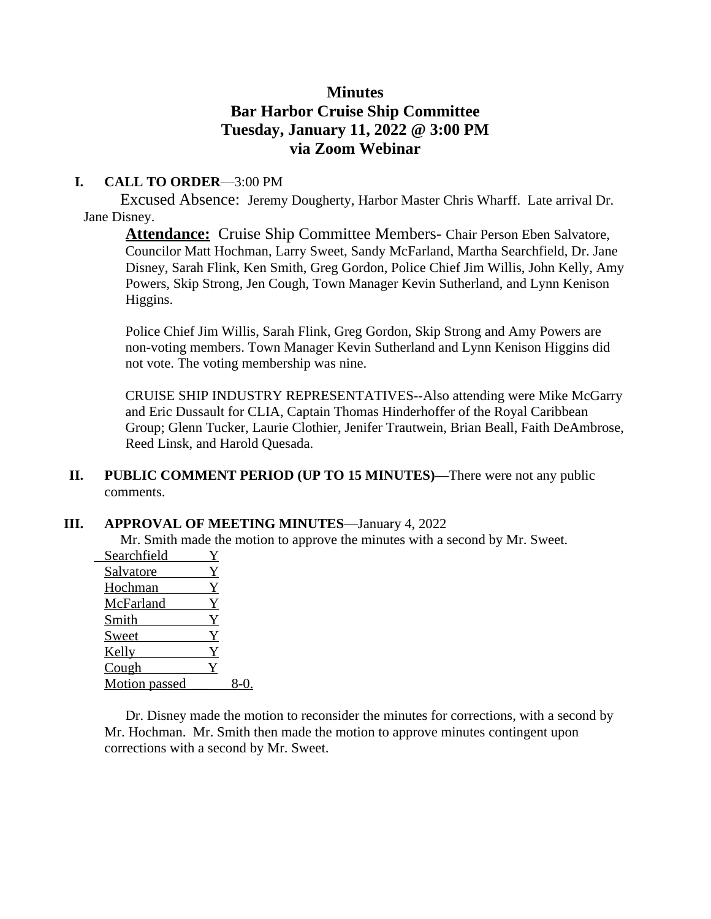# **Minutes Bar Harbor Cruise Ship Committee Tuesday, January 11, 2022 @ 3:00 PM via Zoom Webinar**

## **I. CALL TO ORDER**—3:00 PM

 Excused Absence: Jeremy Dougherty, Harbor Master Chris Wharff. Late arrival Dr. Jane Disney.

**Attendance:** Cruise Ship Committee Members- Chair Person Eben Salvatore, Councilor Matt Hochman, Larry Sweet, Sandy McFarland, Martha Searchfield, Dr. Jane Disney, Sarah Flink, Ken Smith, Greg Gordon, Police Chief Jim Willis, John Kelly, Amy Powers, Skip Strong, Jen Cough, Town Manager Kevin Sutherland, and Lynn Kenison Higgins.

Police Chief Jim Willis, Sarah Flink, Greg Gordon, Skip Strong and Amy Powers are non-voting members. Town Manager Kevin Sutherland and Lynn Kenison Higgins did not vote. The voting membership was nine.

CRUISE SHIP INDUSTRY REPRESENTATIVES--Also attending were Mike McGarry and Eric Dussault for CLIA, Captain Thomas Hinderhoffer of the Royal Caribbean Group; Glenn Tucker, Laurie Clothier, Jenifer Trautwein, Brian Beall, Faith DeAmbrose, Reed Linsk, and Harold Quesada.

### **II. PUBLIC COMMENT PERIOD (UP TO 15 MINUTES)—**There were not any public comments.

### **III. APPROVAL OF MEETING MINUTES**—January 4, 2022

Mr. Smith made the motion to approve the minutes with a second by Mr. Sweet.

| Searchfield   |   |  |
|---------------|---|--|
| Salvatore     | Y |  |
| Hochman       | Y |  |
| McFarland     | Y |  |
| Smith         | Y |  |
| Sweet         | Y |  |
| Kelly         | Y |  |
| Cough         |   |  |
| Motion passed |   |  |

Dr. Disney made the motion to reconsider the minutes for corrections, with a second by Mr. Hochman. Mr. Smith then made the motion to approve minutes contingent upon corrections with a second by Mr. Sweet.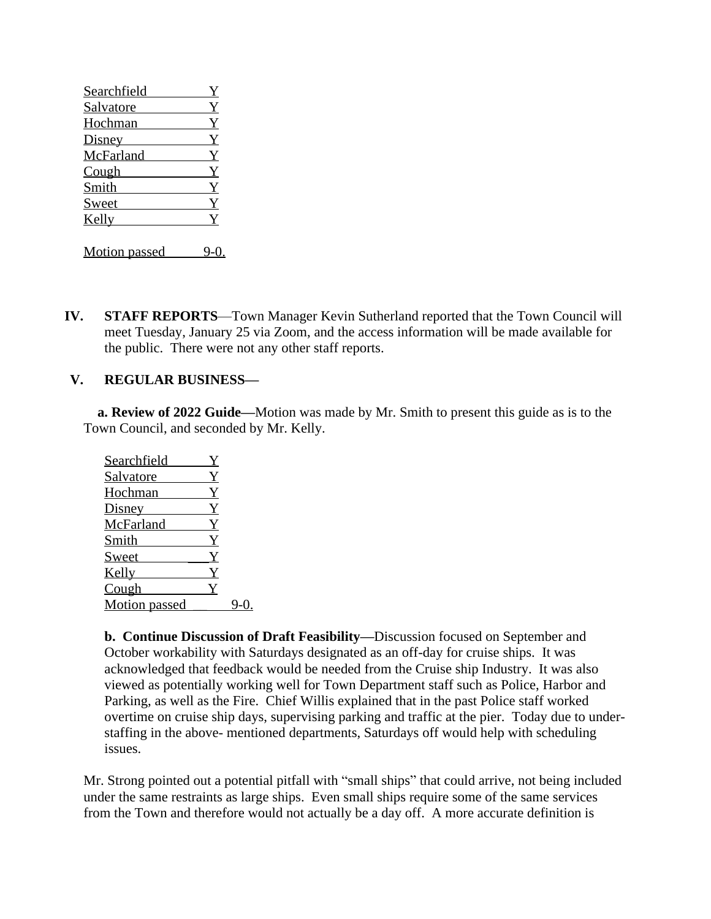| Searchfield |              |
|-------------|--------------|
| Salvatore   |              |
| Hochman     | $\mathbf Y$  |
| Disney      | Y            |
| McFarland   | $\mathbf{Y}$ |
| Cough       | Y            |
| Smith       | Y            |
| Sweet       |              |
| Kelly       |              |
|             |              |

Motion passed 9-0.

**IV. STAFF REPORTS**—Town Manager Kevin Sutherland reported that the Town Council will meet Tuesday, January 25 via Zoom, and the access information will be made available for the public. There were not any other staff reports.

#### **V. REGULAR BUSINESS—**

**a. Review of 2022 Guide—Motion was made by Mr. Smith to present this guide as is to the** Town Council, and seconded by Mr. Kelly.

| Searchfield   |  |
|---------------|--|
| Salvatore     |  |
| Hochman       |  |
| Disney        |  |
| McFarland     |  |
| Smith         |  |
| Sweet         |  |
| Kelly         |  |
| Cough         |  |
| Motion passed |  |

**b. Continue Discussion of Draft Feasibility—**Discussion focused on September and October workability with Saturdays designated as an off-day for cruise ships. It was acknowledged that feedback would be needed from the Cruise ship Industry. It was also viewed as potentially working well for Town Department staff such as Police, Harbor and Parking, as well as the Fire. Chief Willis explained that in the past Police staff worked overtime on cruise ship days, supervising parking and traffic at the pier. Today due to understaffing in the above- mentioned departments, Saturdays off would help with scheduling issues.

Mr. Strong pointed out a potential pitfall with "small ships" that could arrive, not being included under the same restraints as large ships. Even small ships require some of the same services from the Town and therefore would not actually be a day off. A more accurate definition is